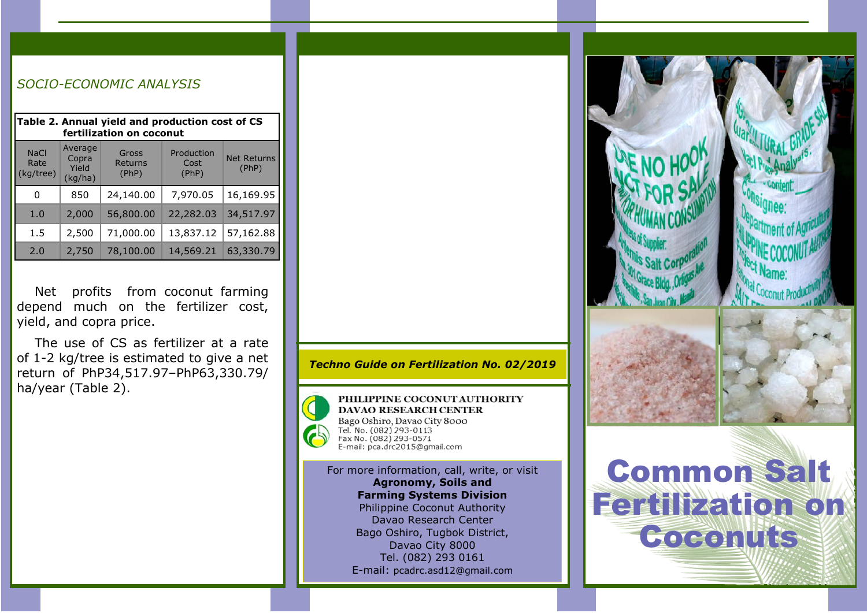| Table 2. Annual yield and production cost of CS<br>fertilization on coconut |                                      |                           |                             |                             |  |
|-----------------------------------------------------------------------------|--------------------------------------|---------------------------|-----------------------------|-----------------------------|--|
| <b>NaCl</b><br>Rate<br>(kg/tree)                                            | Average<br>Copra<br>Yield<br>(kq/ha) | Gross<br>Returns<br>(PhP) | Production<br>Cost<br>(PhP) | <b>Net Returns</b><br>(PhP) |  |
| 0                                                                           | 850                                  | 24,140.00                 | 7,970.05                    | 16,169.95                   |  |
| 1.0                                                                         | 2,000                                | 56,800.00                 | 22,282.03                   | 34,517.97                   |  |
| 1.5                                                                         | 2,500                                | 71,000.00                 | 13,837.12                   | 57,162.88                   |  |
| 2.0                                                                         | 2,750                                | 78,100.00                 | 14,569.21                   | 63,330.79                   |  |

*SOCIO-ECONOMIC ANALYSIS*

Net profits from coconut farming depend much on the fertilizer cost, yield, and copra price.

The use of CS as fertilizer at a rate of 1-2 kg/tree is estimated to give a net return of PhP34,517.97–PhP63,330.79/ ha/year (Table 2).

*Techno Guide on Fertilization No. 02/2019*



PHILIPPINE COCONUT AUTHORITY **DAVAO RESEARCH CENTER** Bago Oshiro, Davao City 8000 Tel. No. (082) 293-0113<br>Fax No. (082) 293-0113 E-mail: pca.drc2015@gmail.com

For more information, call, write, or visit Agronomy, Soils and Farming Systems Division Philippine Coconut Authority Davao Research Center Bago Oshiro, Tugbok District, Davao City 8000 Tel. (082) 293 0161 E-mail: pcadrc.asd12@gmail.com